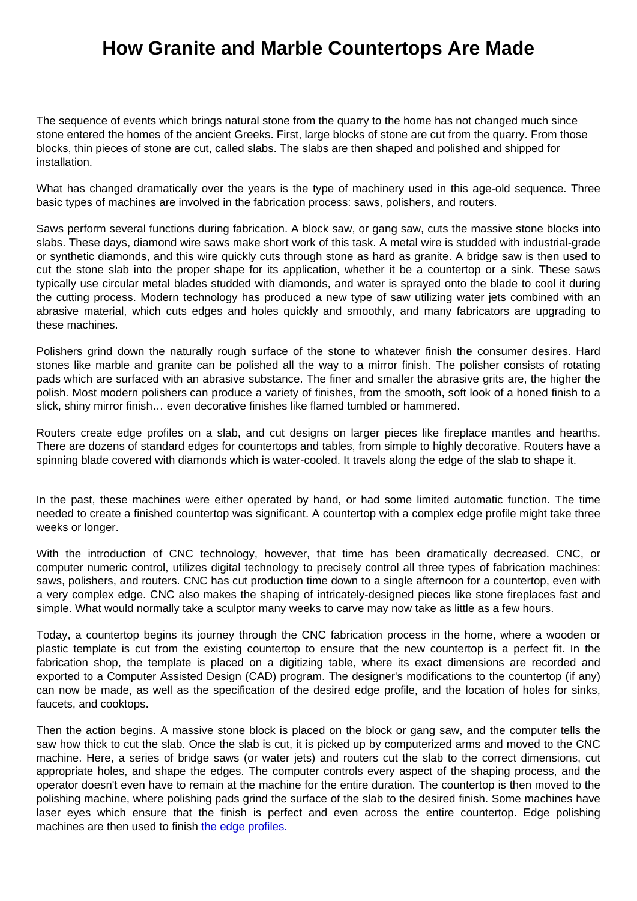## How Granite and Marble Countertops Are Made

The sequence of events which brings natural stone from the quarry to the home has not changed much since stone entered the homes of the ancient Greeks. First, large blocks of stone are cut from the quarry. From those blocks, thin pieces of stone are cut, called slabs. The slabs are then shaped and polished and shipped for installation.

What has changed dramatically over the years is the type of machinery used in this age-old sequence. Three basic types of machines are involved in the fabrication process: saws, polishers, and routers.

Saws perform several functions during fabrication. A block saw, or gang saw, cuts the massive stone blocks into slabs. These days, diamond wire saws make short work of this task. A metal wire is studded with industrial-grade or synthetic diamonds, and this wire quickly cuts through stone as hard as granite. A bridge saw is then used to cut the stone slab into the proper shape for its application, whether it be a countertop or a sink. These saws typically use circular metal blades studded with diamonds, and water is sprayed onto the blade to cool it during the cutting process. Modern technology has produced a new type of saw utilizing water jets combined with an abrasive material, which cuts edges and holes quickly and smoothly, and many fabricators are upgrading to these machines.

Polishers grind down the naturally rough surface of the stone to whatever finish the consumer desires. Hard stones like marble and granite can be polished all the way to a mirror finish. The polisher consists of rotating pads which are surfaced with an abrasive substance. The finer and smaller the abrasive grits are, the higher the polish. Most modern polishers can produce a variety of finishes, from the smooth, soft look of a honed finish to a slick, shiny mirror finish… even decorative finishes like flamed tumbled or hammered.

Routers create edge profiles on a slab, and cut designs on larger pieces like fireplace mantles and hearths. There are dozens of standard edges for countertops and tables, from simple to highly decorative. Routers have a spinning blade covered with diamonds which is water-cooled. It travels along the edge of the slab to shape it.

In the past, these machines were either operated by hand, or had some limited automatic function. The time needed to create a finished countertop was significant. A countertop with a complex edge profile might take three weeks or longer.

With the introduction of CNC technology, however, that time has been dramatically decreased. CNC, or computer numeric control, utilizes digital technology to precisely control all three types of fabrication machines: saws, polishers, and routers. CNC has cut production time down to a single afternoon for a countertop, even with a very complex edge. CNC also makes the shaping of intricately-designed pieces like stone fireplaces fast and simple. What would normally take a sculptor many weeks to carve may now take as little as a few hours.

Today, a countertop begins its journey through the CNC fabrication process in the home, where a wooden or plastic template is cut from the existing countertop to ensure that the new countertop is a perfect fit. In the fabrication shop, the template is placed on a digitizing table, where its exact dimensions are recorded and exported to a Computer Assisted Design (CAD) program. The designer's modifications to the countertop (if any) can now be made, as well as the specification of the desired edge profile, and the location of holes for sinks, faucets, and cooktops.

Then the action begins. A massive stone block is placed on the block or gang saw, and the computer tells the saw how thick to cut the slab. Once the slab is cut, it is picked up by computerized arms and moved to the CNC machine. Here, a series of bridge saws (or water jets) and routers cut the slab to the correct dimensions, cut appropriate holes, and shape the edges. The computer controls every aspect of the shaping process, and the operator doesn't even have to remain at the machine for the entire duration. The countertop is then moved to the polishing machine, where polishing pads grind the surface of the slab to the desired finish. Some machines have laser eyes which ensure that the finish is perfect and even across the entire countertop. Edge polishing machines are then used to finish [the edge profiles.](https://marble.com/countertop-edges)